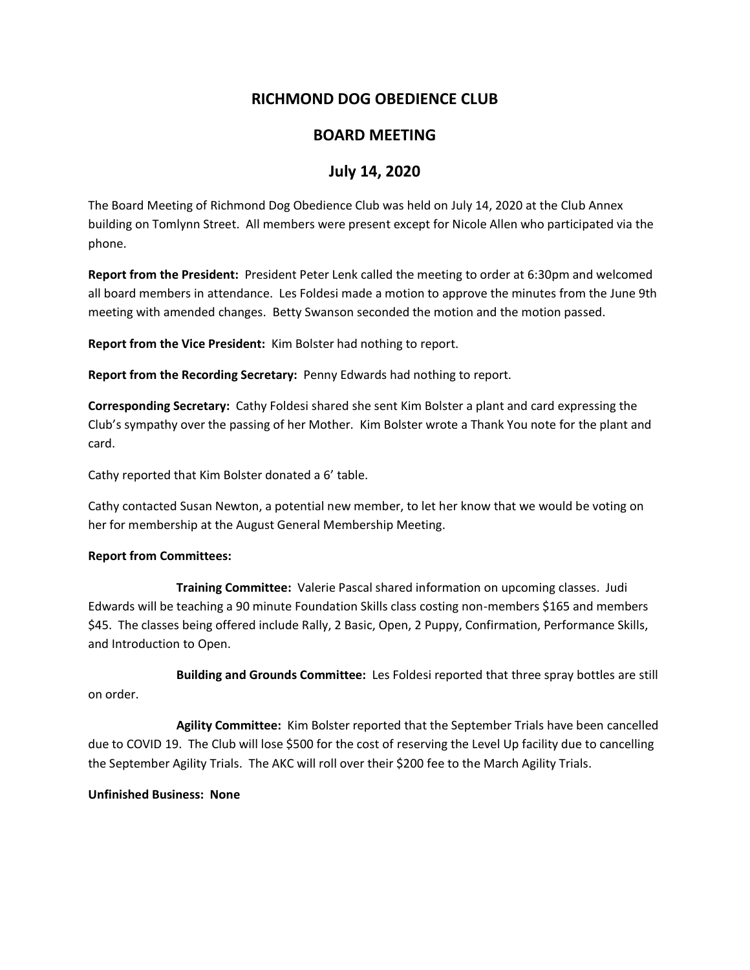# **RICHMOND DOG OBEDIENCE CLUB**

### **BOARD MEETING**

# **July 14, 2020**

The Board Meeting of Richmond Dog Obedience Club was held on July 14, 2020 at the Club Annex building on Tomlynn Street. All members were present except for Nicole Allen who participated via the phone.

**Report from the President:** President Peter Lenk called the meeting to order at 6:30pm and welcomed all board members in attendance. Les Foldesi made a motion to approve the minutes from the June 9th meeting with amended changes. Betty Swanson seconded the motion and the motion passed.

**Report from the Vice President:** Kim Bolster had nothing to report.

**Report from the Recording Secretary:** Penny Edwards had nothing to report.

**Corresponding Secretary:** Cathy Foldesi shared she sent Kim Bolster a plant and card expressing the Club's sympathy over the passing of her Mother. Kim Bolster wrote a Thank You note for the plant and card.

Cathy reported that Kim Bolster donated a 6' table.

Cathy contacted Susan Newton, a potential new member, to let her know that we would be voting on her for membership at the August General Membership Meeting.

### **Report from Committees:**

**Training Committee:** Valerie Pascal shared information on upcoming classes. Judi Edwards will be teaching a 90 minute Foundation Skills class costing non-members \$165 and members \$45. The classes being offered include Rally, 2 Basic, Open, 2 Puppy, Confirmation, Performance Skills, and Introduction to Open.

**Building and Grounds Committee:** Les Foldesi reported that three spray bottles are still on order.

**Agility Committee:** Kim Bolster reported that the September Trials have been cancelled due to COVID 19. The Club will lose \$500 for the cost of reserving the Level Up facility due to cancelling the September Agility Trials. The AKC will roll over their \$200 fee to the March Agility Trials.

### **Unfinished Business: None**